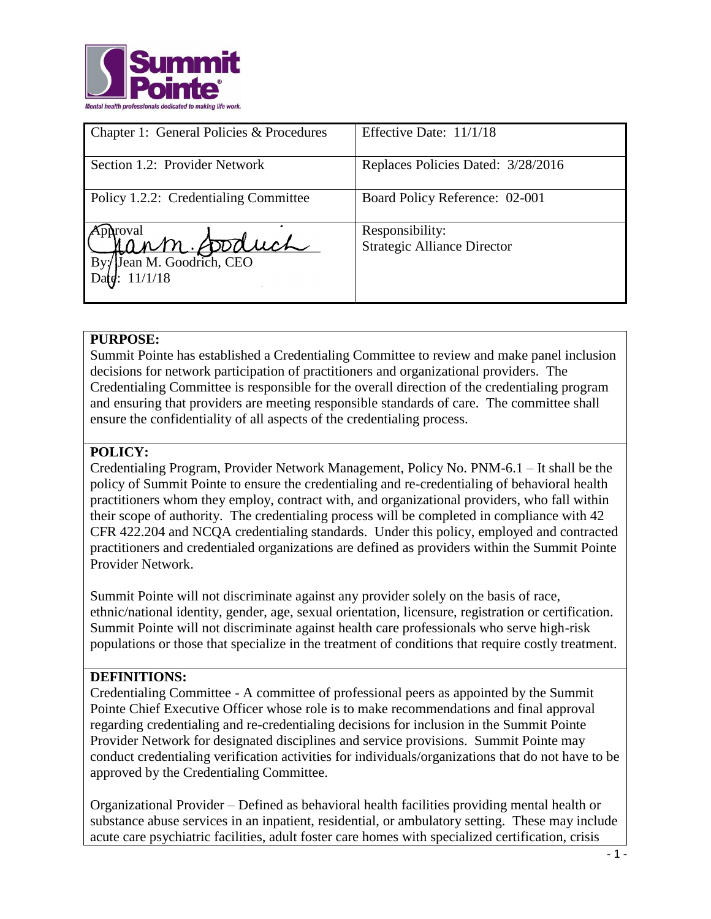

| Chapter 1: General Policies & Procedures                  | Effective Date: 11/1/18                               |
|-----------------------------------------------------------|-------------------------------------------------------|
| Section 1.2: Provider Network                             | Replaces Policies Dated: 3/28/2016                    |
| Policy 1.2.2: Credentialing Committee                     | Board Policy Reference: 02-001                        |
| roval<br>Cann fooduch<br>Jean M. Goodrich, CEO<br>11/1/18 | Responsibility:<br><b>Strategic Alliance Director</b> |

#### **PURPOSE:**

Summit Pointe has established a Credentialing Committee to review and make panel inclusion decisions for network participation of practitioners and organizational providers. The Credentialing Committee is responsible for the overall direction of the credentialing program and ensuring that providers are meeting responsible standards of care. The committee shall ensure the confidentiality of all aspects of the credentialing process.

# **POLICY:**

Credentialing Program, Provider Network Management, Policy No. PNM-6.1 – It shall be the policy of Summit Pointe to ensure the credentialing and re-credentialing of behavioral health practitioners whom they employ, contract with, and organizational providers, who fall within their scope of authority. The credentialing process will be completed in compliance with 42 CFR 422.204 and NCQA credentialing standards. Under this policy, employed and contracted practitioners and credentialed organizations are defined as providers within the Summit Pointe Provider Network.

Summit Pointe will not discriminate against any provider solely on the basis of race, ethnic/national identity, gender, age, sexual orientation, licensure, registration or certification. Summit Pointe will not discriminate against health care professionals who serve high-risk populations or those that specialize in the treatment of conditions that require costly treatment.

#### **DEFINITIONS:**

Credentialing Committee - A committee of professional peers as appointed by the Summit Pointe Chief Executive Officer whose role is to make recommendations and final approval regarding credentialing and re-credentialing decisions for inclusion in the Summit Pointe Provider Network for designated disciplines and service provisions. Summit Pointe may conduct credentialing verification activities for individuals/organizations that do not have to be approved by the Credentialing Committee.

Organizational Provider – Defined as behavioral health facilities providing mental health or substance abuse services in an inpatient, residential, or ambulatory setting. These may include acute care psychiatric facilities, adult foster care homes with specialized certification, crisis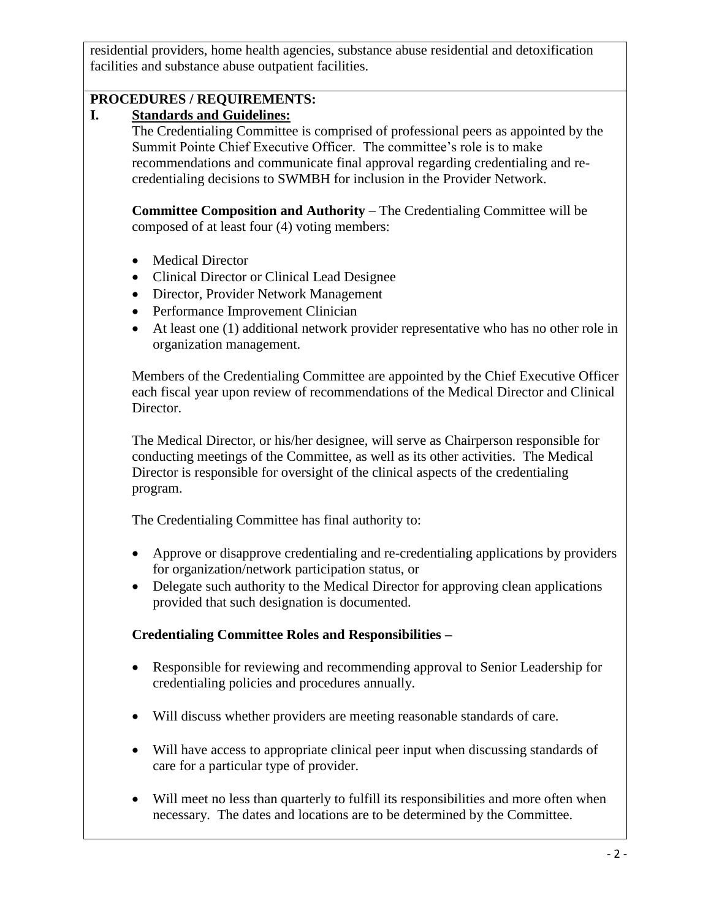residential providers, home health agencies, substance abuse residential and detoxification facilities and substance abuse outpatient facilities.

# **PROCEDURES / REQUIREMENTS:**

#### **I. Standards and Guidelines:**

The Credentialing Committee is comprised of professional peers as appointed by the Summit Pointe Chief Executive Officer. The committee's role is to make recommendations and communicate final approval regarding credentialing and recredentialing decisions to SWMBH for inclusion in the Provider Network.

**Committee Composition and Authority** – The Credentialing Committee will be composed of at least four (4) voting members:

- Medical Director
- Clinical Director or Clinical Lead Designee
- Director, Provider Network Management
- Performance Improvement Clinician
- At least one (1) additional network provider representative who has no other role in organization management.

Members of the Credentialing Committee are appointed by the Chief Executive Officer each fiscal year upon review of recommendations of the Medical Director and Clinical Director.

The Medical Director, or his/her designee, will serve as Chairperson responsible for conducting meetings of the Committee, as well as its other activities. The Medical Director is responsible for oversight of the clinical aspects of the credentialing program.

The Credentialing Committee has final authority to:

- Approve or disapprove credentialing and re-credentialing applications by providers for organization/network participation status, or
- Delegate such authority to the Medical Director for approving clean applications provided that such designation is documented.

# **Credentialing Committee Roles and Responsibilities –**

- Responsible for reviewing and recommending approval to Senior Leadership for credentialing policies and procedures annually.
- Will discuss whether providers are meeting reasonable standards of care.
- Will have access to appropriate clinical peer input when discussing standards of care for a particular type of provider.
- Will meet no less than quarterly to fulfill its responsibilities and more often when necessary. The dates and locations are to be determined by the Committee.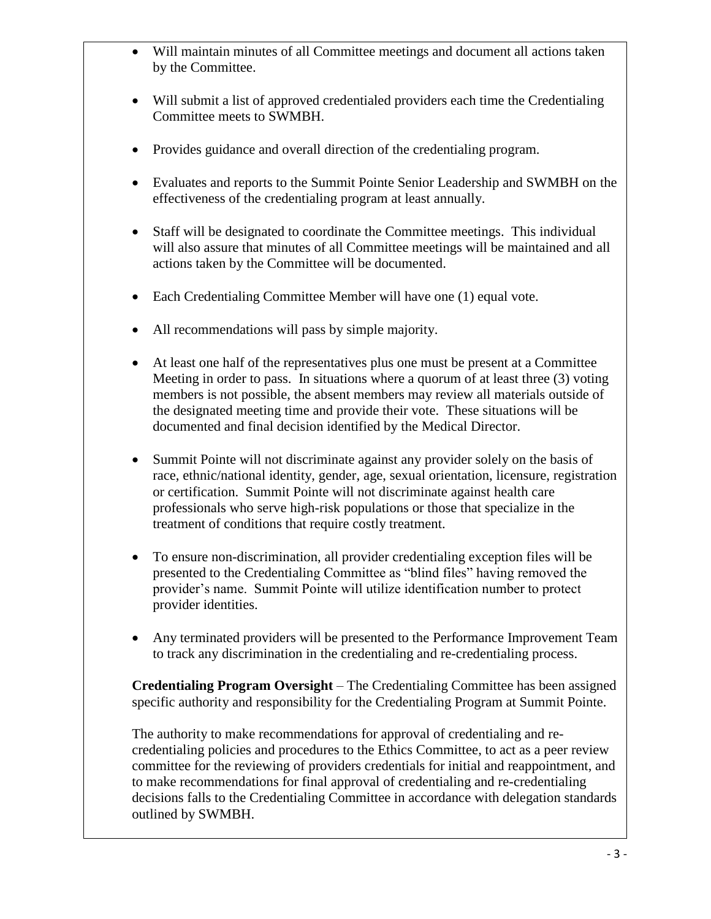- Will maintain minutes of all Committee meetings and document all actions taken by the Committee.
- Will submit a list of approved credentialed providers each time the Credentialing Committee meets to SWMBH.
- Provides guidance and overall direction of the credentialing program.
- Evaluates and reports to the Summit Pointe Senior Leadership and SWMBH on the effectiveness of the credentialing program at least annually.
- Staff will be designated to coordinate the Committee meetings. This individual will also assure that minutes of all Committee meetings will be maintained and all actions taken by the Committee will be documented.
- Each Credentialing Committee Member will have one (1) equal vote.
- All recommendations will pass by simple majority.
- At least one half of the representatives plus one must be present at a Committee Meeting in order to pass. In situations where a quorum of at least three (3) voting members is not possible, the absent members may review all materials outside of the designated meeting time and provide their vote. These situations will be documented and final decision identified by the Medical Director.
- Summit Pointe will not discriminate against any provider solely on the basis of race, ethnic/national identity, gender, age, sexual orientation, licensure, registration or certification. Summit Pointe will not discriminate against health care professionals who serve high-risk populations or those that specialize in the treatment of conditions that require costly treatment.
- To ensure non-discrimination, all provider credentialing exception files will be presented to the Credentialing Committee as "blind files" having removed the provider's name. Summit Pointe will utilize identification number to protect provider identities.
- Any terminated providers will be presented to the Performance Improvement Team to track any discrimination in the credentialing and re-credentialing process.

**Credentialing Program Oversight** – The Credentialing Committee has been assigned specific authority and responsibility for the Credentialing Program at Summit Pointe.

The authority to make recommendations for approval of credentialing and recredentialing policies and procedures to the Ethics Committee, to act as a peer review committee for the reviewing of providers credentials for initial and reappointment, and to make recommendations for final approval of credentialing and re-credentialing decisions falls to the Credentialing Committee in accordance with delegation standards outlined by SWMBH.